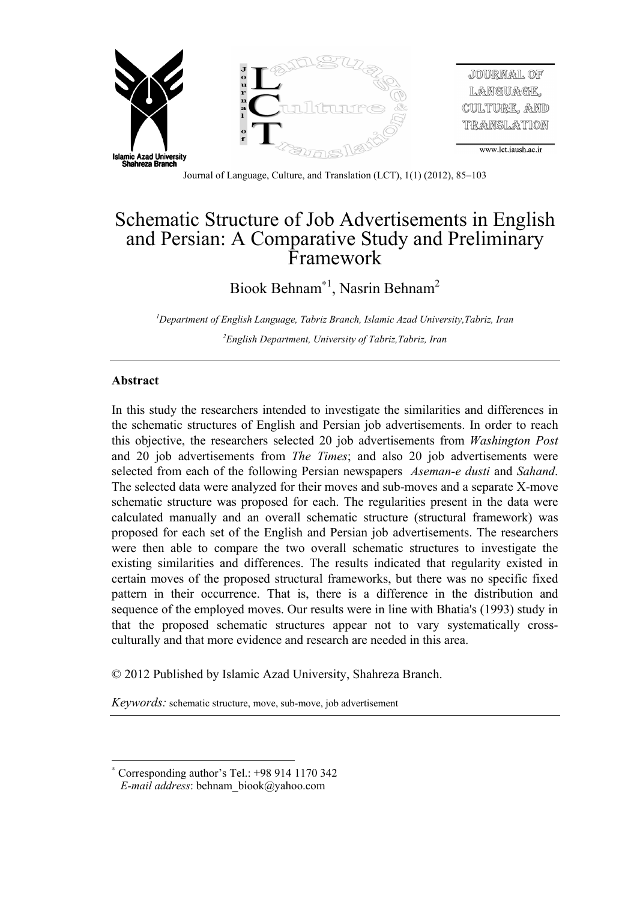

# Schematic Structure of Job Advertisements in English and Persian: A Comparative Study and Preliminary Framework

Biook Behnam<sup>\*1</sup>, Nasrin Behnam<sup>2</sup>

*1 Department of English Language, Tabriz Branch, Islamic Azad University,Tabriz, Iran 2 English Department, University of Tabriz,Tabriz, Iran*

#### **Abstract**

 $\overline{a}$ 

In this study the researchers intended to investigate the similarities and differences in the schematic structures of English and Persian job advertisements. In order to reach this objective, the researchers selected 20 job advertisements from *Washington Post* and 20 job advertisements from *The Times*; and also 20 job advertisements were selected from each of the following Persian newspapers *Aseman-e dusti* and *Sahand*. The selected data were analyzed for their moves and sub-moves and a separate X-move schematic structure was proposed for each. The regularities present in the data were calculated manually and an overall schematic structure (structural framework) was proposed for each set of the English and Persian job advertisements. The researchers were then able to compare the two overall schematic structures to investigate the existing similarities and differences. The results indicated that regularity existed in certain moves of the proposed structural frameworks, but there was no specific fixed pattern in their occurrence. That is, there is a difference in the distribution and sequence of the employed moves. Our results were in line with Bhatia's (1993) study in that the proposed schematic structures appear not to vary systematically crossculturally and that more evidence and research are needed in this area.

© 2012 Published by Islamic Azad University, Shahreza Branch.

*Keywords:* schematic structure, move, sub-move, job advertisement

<sup>×</sup> Corresponding author's Tel.: +98 914 1170 342

*E-mail address*: behnam\_biook@yahoo.com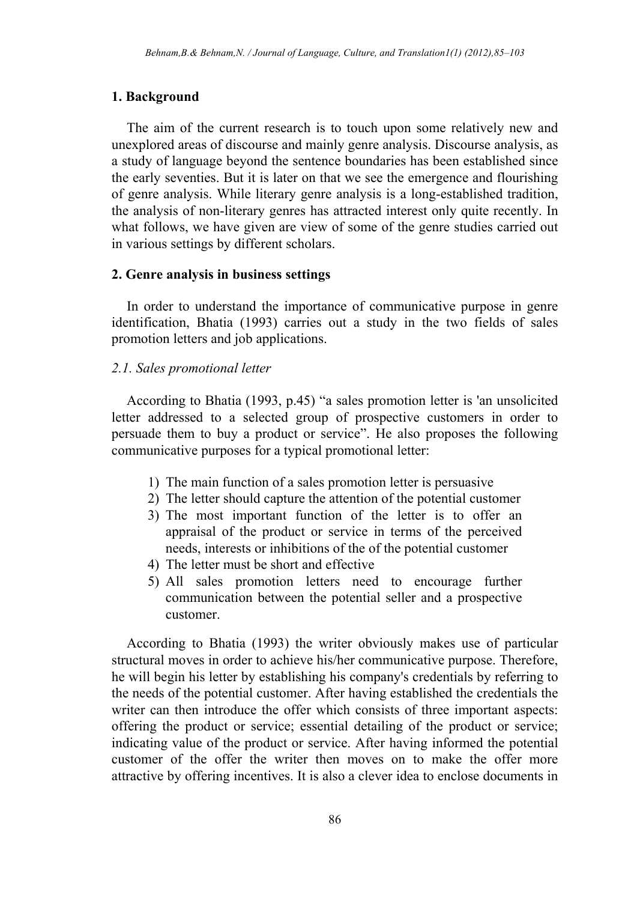# **1. Background**

The aim of the current research is to touch upon some relatively new and unexplored areas of discourse and mainly genre analysis. Discourse analysis, as a study of language beyond the sentence boundaries has been established since the early seventies. But it is later on that we see the emergence and flourishing of genre analysis. While literary genre analysis is a long-established tradition, the analysis of non-literary genres has attracted interest only quite recently. In what follows, we have given are view of some of the genre studies carried out in various settings by different scholars.

#### **2. Genre analysis in business settings**

In order to understand the importance of communicative purpose in genre identification, Bhatia (1993) carries out a study in the two fields of sales promotion letters and job applications.

# *2.1. Sales promotional letter*

According to Bhatia (1993, p.45) "a sales promotion letter is 'an unsolicited letter addressed to a selected group of prospective customers in order to persuade them to buy a product or service". He also proposes the following communicative purposes for a typical promotional letter:

- 1) The main function of a sales promotion letter is persuasive
- 2) The letter should capture the attention of the potential customer
- 3) The most important function of the letter is to offer an appraisal of the product or service in terms of the perceived needs, interests or inhibitions of the of the potential customer
- 4) The letter must be short and effective
- 5) All sales promotion letters need to encourage further communication between the potential seller and a prospective customer.

According to Bhatia (1993) the writer obviously makes use of particular structural moves in order to achieve his/her communicative purpose. Therefore, he will begin his letter by establishing his company's credentials by referring to the needs of the potential customer. After having established the credentials the writer can then introduce the offer which consists of three important aspects: offering the product or service; essential detailing of the product or service; indicating value of the product or service. After having informed the potential customer of the offer the writer then moves on to make the offer more attractive by offering incentives. It is also a clever idea to enclose documents in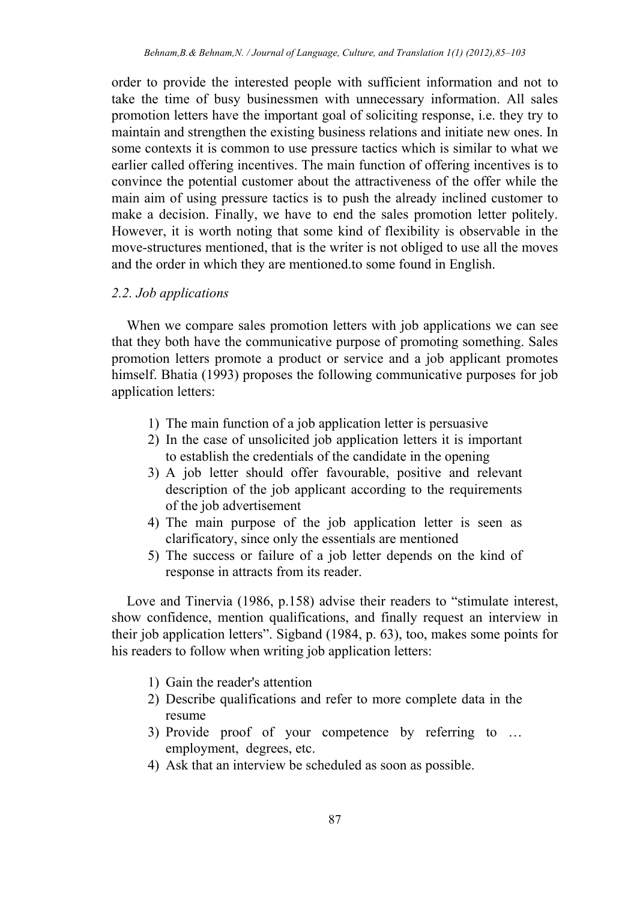order to provide the interested people with sufficient information and not to take the time of busy businessmen with unnecessary information. All sales promotion letters have the important goal of soliciting response, i.e. they try to maintain and strengthen the existing business relations and initiate new ones. In some contexts it is common to use pressure tactics which is similar to what we earlier called offering incentives. The main function of offering incentives is to convince the potential customer about the attractiveness of the offer while the main aim of using pressure tactics is to push the already inclined customer to make a decision. Finally, we have to end the sales promotion letter politely. However, it is worth noting that some kind of flexibility is observable in the move-structures mentioned, that is the writer is not obliged to use all the moves and the order in which they are mentioned.to some found in English.

#### *2.2. Job applications*

When we compare sales promotion letters with job applications we can see that they both have the communicative purpose of promoting something. Sales promotion letters promote a product or service and a job applicant promotes himself. Bhatia (1993) proposes the following communicative purposes for job application letters:

- 1) The main function of a job application letter is persuasive
- 2) In the case of unsolicited job application letters it is important to establish the credentials of the candidate in the opening
- 3) A job letter should offer favourable, positive and relevant description of the job applicant according to the requirements of the job advertisement
- 4) The main purpose of the job application letter is seen as clarificatory, since only the essentials are mentioned
- 5) The success or failure of a job letter depends on the kind of response in attracts from its reader.

Love and Tinervia (1986, p.158) advise their readers to "stimulate interest, show confidence, mention qualifications, and finally request an interview in their job application letters". Sigband (1984, p. 63), too, makes some points for his readers to follow when writing job application letters:

- 1) Gain the reader's attention
- 2) Describe qualifications and refer to more complete data in the resume
- 3) Provide proof of your competence by referring to … employment, degrees, etc.
- 4) Ask that an interview be scheduled as soon as possible.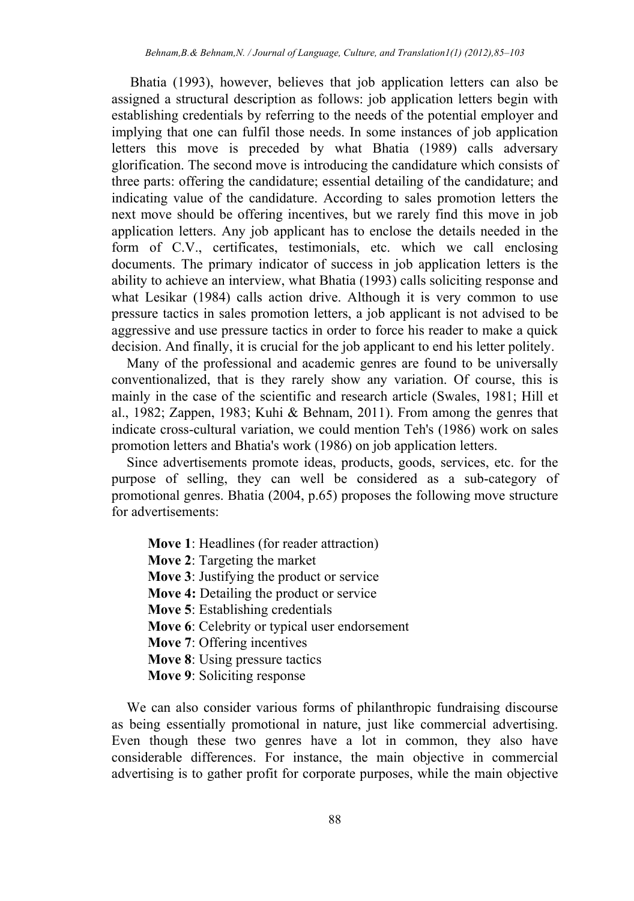Bhatia (1993), however, believes that job application letters can also be assigned a structural description as follows: job application letters begin with establishing credentials by referring to the needs of the potential employer and implying that one can fulfil those needs. In some instances of job application letters this move is preceded by what Bhatia (1989) calls adversary glorification. The second move is introducing the candidature which consists of three parts: offering the candidature; essential detailing of the candidature; and indicating value of the candidature. According to sales promotion letters the next move should be offering incentives, but we rarely find this move in job application letters. Any job applicant has to enclose the details needed in the form of C.V., certificates, testimonials, etc. which we call enclosing documents. The primary indicator of success in job application letters is the ability to achieve an interview, what Bhatia (1993) calls soliciting response and what Lesikar (1984) calls action drive. Although it is very common to use pressure tactics in sales promotion letters, a job applicant is not advised to be aggressive and use pressure tactics in order to force his reader to make a quick decision. And finally, it is crucial for the job applicant to end his letter politely.

Many of the professional and academic genres are found to be universally conventionalized, that is they rarely show any variation. Of course, this is mainly in the case of the scientific and research article (Swales, 1981; Hill et al., 1982; Zappen, 1983; Kuhi & Behnam, 2011). From among the genres that indicate cross-cultural variation, we could mention Teh's (1986) work on sales promotion letters and Bhatia's work (1986) on job application letters.

Since advertisements promote ideas, products, goods, services, etc. for the purpose of selling, they can well be considered as a sub-category of promotional genres. Bhatia (2004, p.65) proposes the following move structure for advertisements:

- **Move 1**: Headlines (for reader attraction)
- **Move 2**: Targeting the market
- **Move 3**: Justifying the product or service
- **Move 4:** Detailing the product or service
- **Move 5**: Establishing credentials
- **Move 6**: Celebrity or typical user endorsement
- **Move 7**: Offering incentives
- **Move 8**: Using pressure tactics
- **Move 9**: Soliciting response

We can also consider various forms of philanthropic fundraising discourse as being essentially promotional in nature, just like commercial advertising. Even though these two genres have a lot in common, they also have considerable differences. For instance, the main objective in commercial advertising is to gather profit for corporate purposes, while the main objective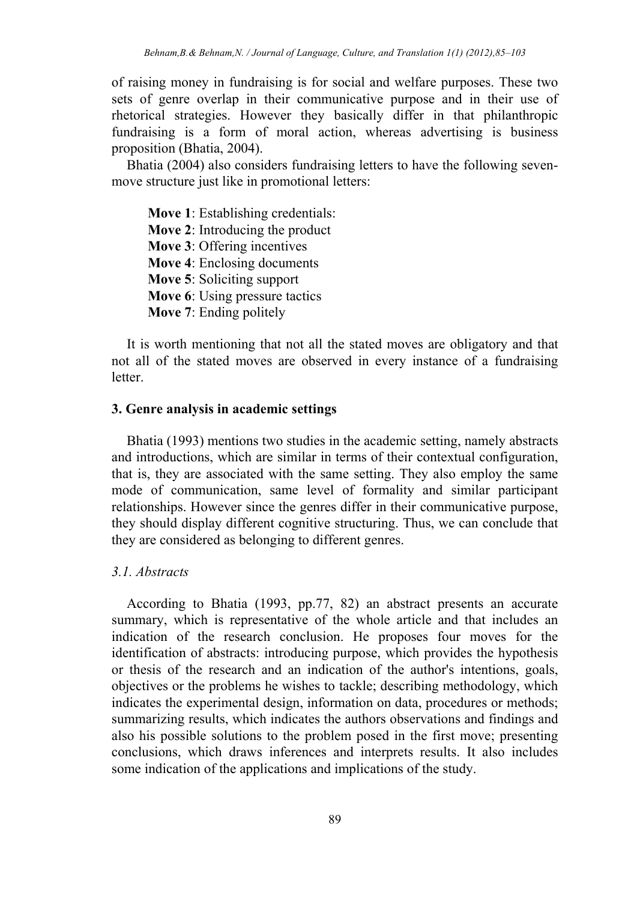of raising money in fundraising is for social and welfare purposes. These two sets of genre overlap in their communicative purpose and in their use of rhetorical strategies. However they basically differ in that philanthropic fundraising is a form of moral action, whereas advertising is business proposition (Bhatia, 2004).

Bhatia (2004) also considers fundraising letters to have the following sevenmove structure just like in promotional letters:

**Move 1**: Establishing credentials: **Move 2**: Introducing the product **Move 3**: Offering incentives **Move 4**: Enclosing documents **Move 5**: Soliciting support **Move 6**: Using pressure tactics **Move 7**: Ending politely

It is worth mentioning that not all the stated moves are obligatory and that not all of the stated moves are observed in every instance of a fundraising **letter** 

#### **3. Genre analysis in academic settings**

Bhatia (1993) mentions two studies in the academic setting, namely abstracts and introductions, which are similar in terms of their contextual configuration, that is, they are associated with the same setting. They also employ the same mode of communication, same level of formality and similar participant relationships. However since the genres differ in their communicative purpose, they should display different cognitive structuring. Thus, we can conclude that they are considered as belonging to different genres.

#### *3.1. Abstracts*

According to Bhatia (1993, pp.77, 82) an abstract presents an accurate summary, which is representative of the whole article and that includes an indication of the research conclusion. He proposes four moves for the identification of abstracts: introducing purpose, which provides the hypothesis or thesis of the research and an indication of the author's intentions, goals, objectives or the problems he wishes to tackle; describing methodology, which indicates the experimental design, information on data, procedures or methods; summarizing results, which indicates the authors observations and findings and also his possible solutions to the problem posed in the first move; presenting conclusions, which draws inferences and interprets results. It also includes some indication of the applications and implications of the study.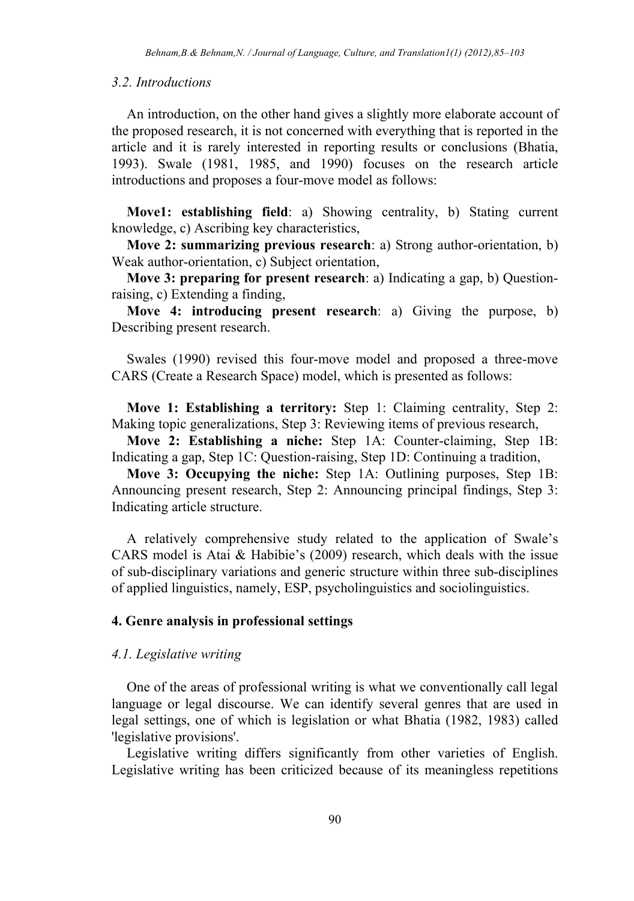#### *3.2. Introductions*

An introduction, on the other hand gives a slightly more elaborate account of the proposed research, it is not concerned with everything that is reported in the article and it is rarely interested in reporting results or conclusions (Bhatia, 1993). Swale (1981, 1985, and 1990) focuses on the research article introductions and proposes a four-move model as follows:

**Move1: establishing field**: a) Showing centrality, b) Stating current knowledge, c) Ascribing key characteristics,

**Move 2: summarizing previous research**: a) Strong author-orientation, b) Weak author-orientation, c) Subject orientation,

**Move 3: preparing for present research**: a) Indicating a gap, b) Questionraising, c) Extending a finding,

**Move 4: introducing present research**: a) Giving the purpose, b) Describing present research.

Swales (1990) revised this four-move model and proposed a three-move CARS (Create a Research Space) model, which is presented as follows:

**Move 1: Establishing a territory:** Step 1: Claiming centrality, Step 2: Making topic generalizations, Step 3: Reviewing items of previous research,

**Move 2: Establishing a niche:** Step 1A: Counter-claiming, Step 1B: Indicating a gap, Step 1C: Question-raising, Step 1D: Continuing a tradition,

**Move 3: Occupying the niche:** Step 1A: Outlining purposes, Step 1B: Announcing present research, Step 2: Announcing principal findings, Step 3: Indicating article structure.

A relatively comprehensive study related to the application of Swale's CARS model is Atai & Habibie's (2009) research, which deals with the issue of sub-disciplinary variations and generic structure within three sub-disciplines of applied linguistics, namely, ESP, psycholinguistics and sociolinguistics.

#### **4. Genre analysis in professional settings**

#### *4.1. Legislative writing*

One of the areas of professional writing is what we conventionally call legal language or legal discourse. We can identify several genres that are used in legal settings, one of which is legislation or what Bhatia (1982, 1983) called 'legislative provisions'.

Legislative writing differs significantly from other varieties of English. Legislative writing has been criticized because of its meaningless repetitions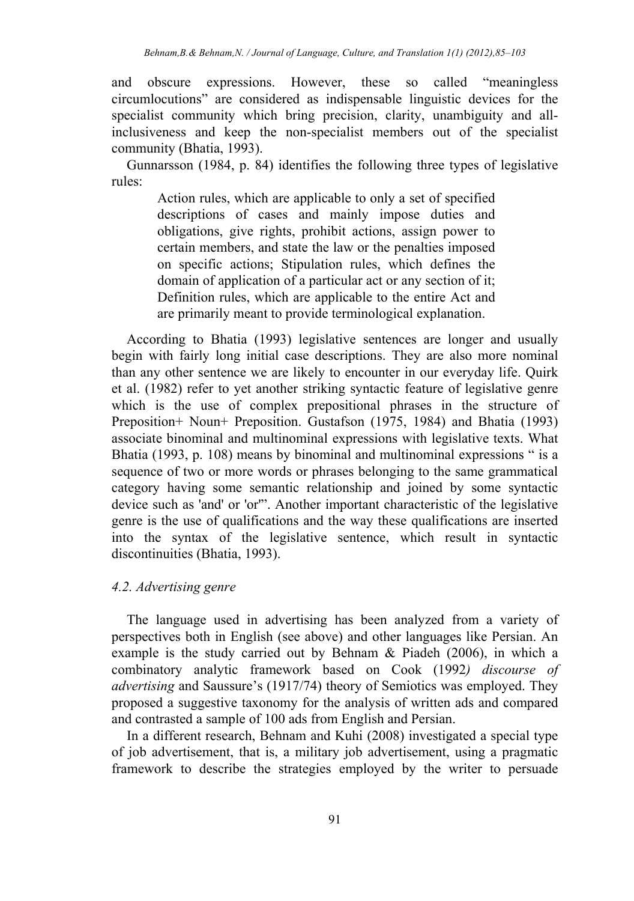and obscure expressions. However, these so called "meaningless circumlocutions" are considered as indispensable linguistic devices for the specialist community which bring precision, clarity, unambiguity and allinclusiveness and keep the non-specialist members out of the specialist community (Bhatia, 1993).

Gunnarsson (1984, p. 84) identifies the following three types of legislative rules:

> Action rules, which are applicable to only a set of specified descriptions of cases and mainly impose duties and obligations, give rights, prohibit actions, assign power to certain members, and state the law or the penalties imposed on specific actions; Stipulation rules, which defines the domain of application of a particular act or any section of it; Definition rules, which are applicable to the entire Act and are primarily meant to provide terminological explanation.

According to Bhatia (1993) legislative sentences are longer and usually begin with fairly long initial case descriptions. They are also more nominal than any other sentence we are likely to encounter in our everyday life. Quirk et al. (1982) refer to yet another striking syntactic feature of legislative genre which is the use of complex prepositional phrases in the structure of Preposition+ Noun+ Preposition. Gustafson (1975, 1984) and Bhatia (1993) associate binominal and multinominal expressions with legislative texts. What Bhatia (1993, p. 108) means by binominal and multinominal expressions " is a sequence of two or more words or phrases belonging to the same grammatical category having some semantic relationship and joined by some syntactic device such as 'and' or 'or'". Another important characteristic of the legislative genre is the use of qualifications and the way these qualifications are inserted into the syntax of the legislative sentence, which result in syntactic discontinuities (Bhatia, 1993).

# *4.2. Advertising genre*

The language used in advertising has been analyzed from a variety of perspectives both in English (see above) and other languages like Persian. An example is the study carried out by Behnam & Piadeh (2006), in which a combinatory analytic framework based on Cook (1992*) discourse of advertising* and Saussure's (1917/74) theory of Semiotics was employed. They proposed a suggestive taxonomy for the analysis of written ads and compared and contrasted a sample of 100 ads from English and Persian.

In a different research, Behnam and Kuhi (2008) investigated a special type of job advertisement, that is, a military job advertisement, using a pragmatic framework to describe the strategies employed by the writer to persuade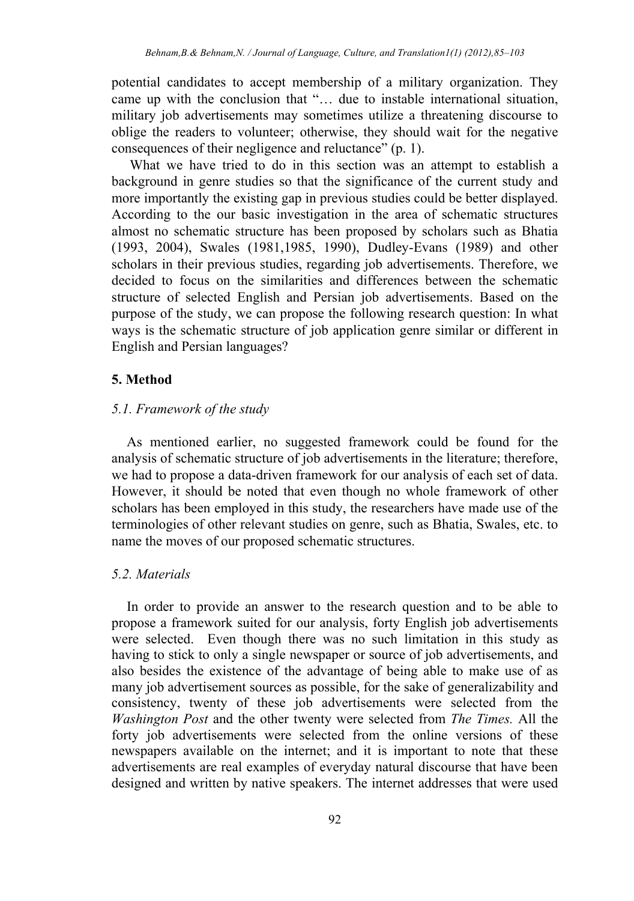potential candidates to accept membership of a military organization. They came up with the conclusion that "… due to instable international situation, military job advertisements may sometimes utilize a threatening discourse to oblige the readers to volunteer; otherwise, they should wait for the negative consequences of their negligence and reluctance" (p. 1).

 What we have tried to do in this section was an attempt to establish a background in genre studies so that the significance of the current study and more importantly the existing gap in previous studies could be better displayed. According to the our basic investigation in the area of schematic structures almost no schematic structure has been proposed by scholars such as Bhatia (1993, 2004), Swales (1981,1985, 1990), Dudley-Evans (1989) and other scholars in their previous studies, regarding job advertisements. Therefore, we decided to focus on the similarities and differences between the schematic structure of selected English and Persian job advertisements. Based on the purpose of the study, we can propose the following research question: In what ways is the schematic structure of job application genre similar or different in English and Persian languages?

# **5. Method**

#### *5.1. Framework of the study*

As mentioned earlier, no suggested framework could be found for the analysis of schematic structure of job advertisements in the literature; therefore, we had to propose a data-driven framework for our analysis of each set of data. However, it should be noted that even though no whole framework of other scholars has been employed in this study, the researchers have made use of the terminologies of other relevant studies on genre, such as Bhatia, Swales, etc. to name the moves of our proposed schematic structures.

# *5.2. Materials*

In order to provide an answer to the research question and to be able to propose a framework suited for our analysis, forty English job advertisements were selected. Even though there was no such limitation in this study as having to stick to only a single newspaper or source of job advertisements, and also besides the existence of the advantage of being able to make use of as many job advertisement sources as possible, for the sake of generalizability and consistency, twenty of these job advertisements were selected from the *Washington Post* and the other twenty were selected from *The Times.* All the forty job advertisements were selected from the online versions of these newspapers available on the internet; and it is important to note that these advertisements are real examples of everyday natural discourse that have been designed and written by native speakers. The internet addresses that were used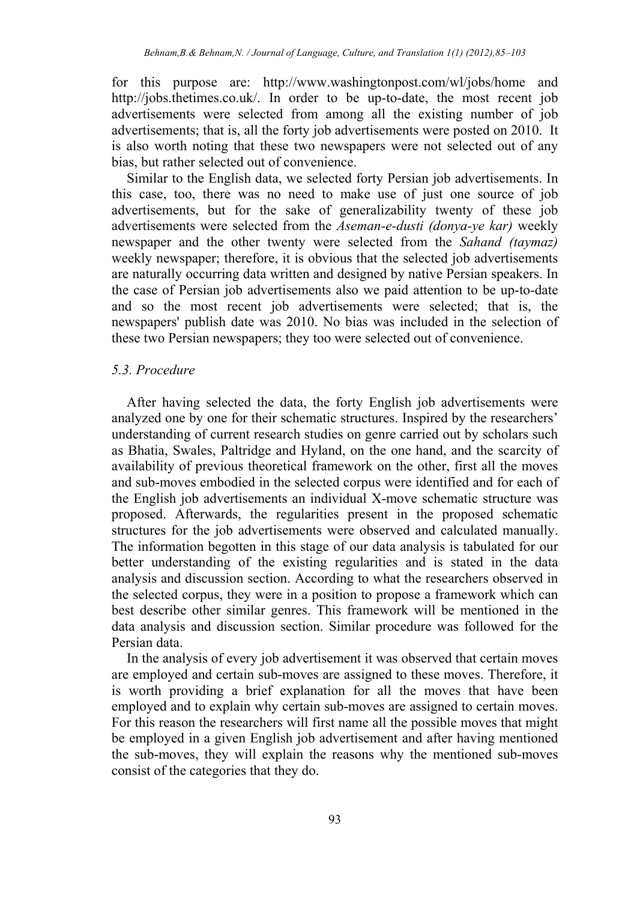for this purpose are: http://www.washingtonpost.com/wl/jobs/home and http://jobs.thetimes.co.uk/. In order to be up-to-date, the most recent job advertisements were selected from among all the existing number of job advertisements; that is, all the forty job advertisements were posted on 2010. It is also worth noting that these two newspapers were not selected out of any bias, but rather selected out of convenience.

Similar to the English data, we selected forty Persian job advertisements. In this case, too, there was no need to make use of just one source of job advertisements, but for the sake of generalizability twenty of these job advertisements were selected from the *Aseman-e-dusti (donya-ye kar)* weekly newspaper and the other twenty were selected from the *Sahand (taymaz)* weekly newspaper; therefore, it is obvious that the selected job advertisements are naturally occurring data written and designed by native Persian speakers. In the case of Persian job advertisements also we paid attention to be up-to-date and so the most recent job advertisements were selected; that is, the newspapers' publish date was 2010. No bias was included in the selection of these two Persian newspapers; they too were selected out of convenience.

#### *5.3. Procedure*

After having selected the data, the forty English job advertisements were analyzed one by one for their schematic structures. Inspired by the researchers' understanding of current research studies on genre carried out by scholars such as Bhatia, Swales, Paltridge and Hyland, on the one hand, and the scarcity of availability of previous theoretical framework on the other, first all the moves and sub-moves embodied in the selected corpus were identified and for each of the English job advertisements an individual X-move schematic structure was proposed. Afterwards, the regularities present in the proposed schematic structures for the job advertisements were observed and calculated manually. The information begotten in this stage of our data analysis is tabulated for our better understanding of the existing regularities and is stated in the data analysis and discussion section. According to what the researchers observed in the selected corpus, they were in a position to propose a framework which can best describe other similar genres. This framework will be mentioned in the data analysis and discussion section. Similar procedure was followed for the Persian data.

In the analysis of every job advertisement it was observed that certain moves are employed and certain sub-moves are assigned to these moves. Therefore, it is worth providing a brief explanation for all the moves that have been employed and to explain why certain sub-moves are assigned to certain moves. For this reason the researchers will first name all the possible moves that might be employed in a given English job advertisement and after having mentioned the sub-moves, they will explain the reasons why the mentioned sub-moves consist of the categories that they do.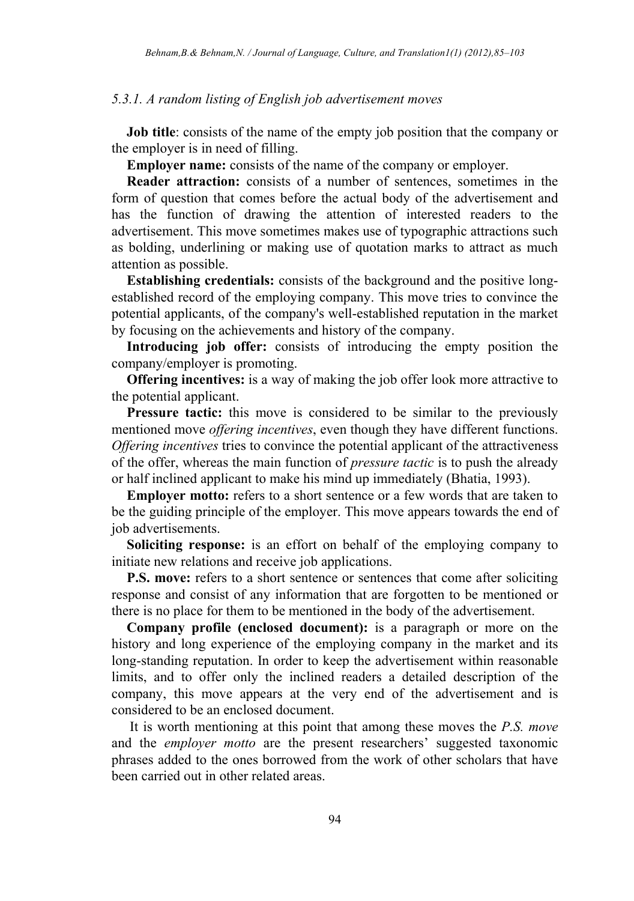#### *5.3.1. A random listing of English job advertisement moves*

**Job title**: consists of the name of the empty job position that the company or the employer is in need of filling.

**Employer name:** consists of the name of the company or employer.

**Reader attraction:** consists of a number of sentences, sometimes in the form of question that comes before the actual body of the advertisement and has the function of drawing the attention of interested readers to the advertisement. This move sometimes makes use of typographic attractions such as bolding, underlining or making use of quotation marks to attract as much attention as possible.

**Establishing credentials:** consists of the background and the positive longestablished record of the employing company. This move tries to convince the potential applicants, of the company's well-established reputation in the market by focusing on the achievements and history of the company.

Introducing job offer: consists of introducing the empty position the company/employer is promoting.

**Offering incentives:** is a way of making the job offer look more attractive to the potential applicant.

**Pressure tactic:** this move is considered to be similar to the previously mentioned move *offering incentives*, even though they have different functions. *Offering incentives* tries to convince the potential applicant of the attractiveness of the offer, whereas the main function of *pressure tactic* is to push the already or half inclined applicant to make his mind up immediately (Bhatia, 1993).

**Employer motto:** refers to a short sentence or a few words that are taken to be the guiding principle of the employer. This move appears towards the end of job advertisements.

**Soliciting response:** is an effort on behalf of the employing company to initiate new relations and receive job applications.

**P.S. move:** refers to a short sentence or sentences that come after soliciting response and consist of any information that are forgotten to be mentioned or there is no place for them to be mentioned in the body of the advertisement.

**Company profile (enclosed document):** is a paragraph or more on the history and long experience of the employing company in the market and its long-standing reputation. In order to keep the advertisement within reasonable limits, and to offer only the inclined readers a detailed description of the company, this move appears at the very end of the advertisement and is considered to be an enclosed document.

 It is worth mentioning at this point that among these moves the *P.S. move* and the *employer motto* are the present researchers' suggested taxonomic phrases added to the ones borrowed from the work of other scholars that have been carried out in other related areas.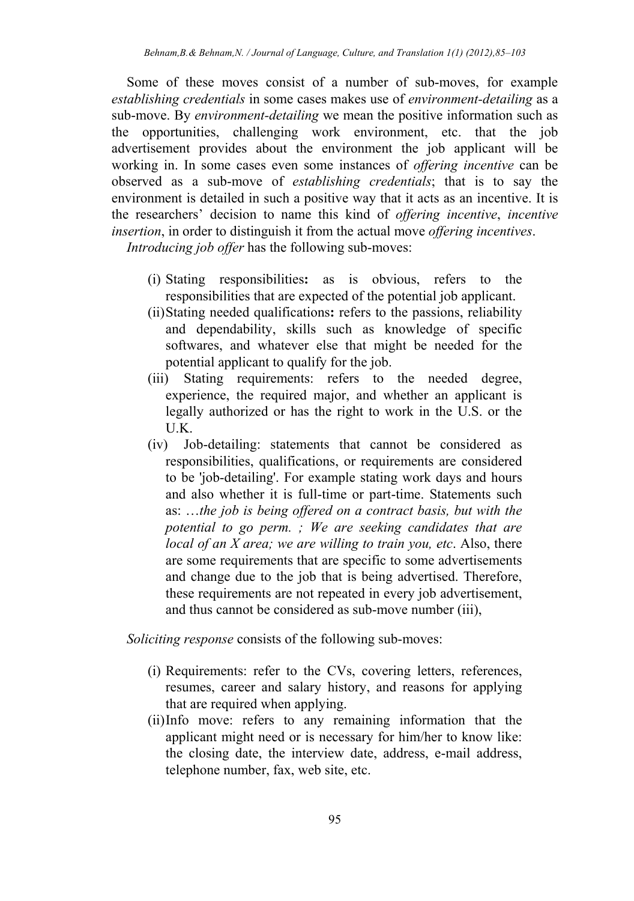Some of these moves consist of a number of sub-moves, for example *establishing credentials* in some cases makes use of *environment-detailing* as a sub-move. By *environment-detailing* we mean the positive information such as the opportunities, challenging work environment, etc. that the job advertisement provides about the environment the job applicant will be working in. In some cases even some instances of *offering incentive* can be observed as a sub-move of *establishing credentials*; that is to say the environment is detailed in such a positive way that it acts as an incentive. It is the researchers' decision to name this kind of *offering incentive*, *incentive insertion*, in order to distinguish it from the actual move *offering incentives*.

*Introducing job offer* has the following sub-moves:

- (i) Stating responsibilities**:** as is obvious, refers to the responsibilities that are expected of the potential job applicant.
- (ii)Stating needed qualifications**:** refers to the passions, reliability and dependability, skills such as knowledge of specific softwares, and whatever else that might be needed for the potential applicant to qualify for the job.
- (iii) Stating requirements: refers to the needed degree, experience, the required major, and whether an applicant is legally authorized or has the right to work in the U.S. or the U.K.
- (iv) Job-detailing: statements that cannot be considered as responsibilities, qualifications, or requirements are considered to be 'job-detailing'. For example stating work days and hours and also whether it is full-time or part-time. Statements such as: …*the job is being offered on a contract basis, but with the potential to go perm. ; We are seeking candidates that are local of an X area; we are willing to train you, etc*. Also, there are some requirements that are specific to some advertisements and change due to the job that is being advertised. Therefore, these requirements are not repeated in every job advertisement, and thus cannot be considered as sub-move number (iii),

*Soliciting response* consists of the following sub-moves:

- (i) Requirements: refer to the CVs, covering letters, references, resumes, career and salary history, and reasons for applying that are required when applying.
- (ii)Info move: refers to any remaining information that the applicant might need or is necessary for him/her to know like: the closing date, the interview date, address, e-mail address, telephone number, fax, web site, etc.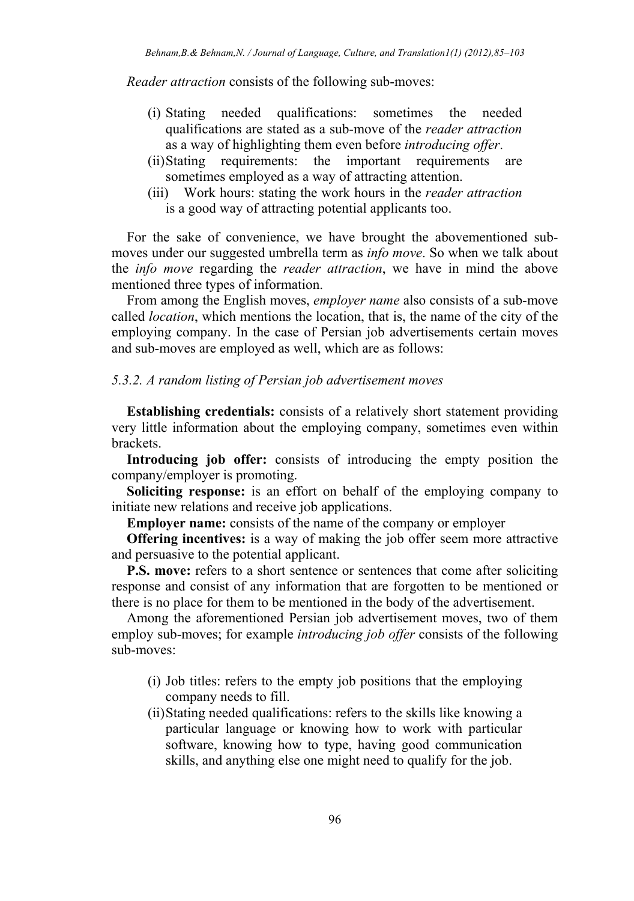*Reader attraction* consists of the following sub-moves:

- (i) Stating needed qualifications: sometimes the needed qualifications are stated as a sub-move of the *reader attraction* as a way of highlighting them even before *introducing offer*.
- (ii)Stating requirements: the important requirements are sometimes employed as a way of attracting attention.
- (iii) Work hours: stating the work hours in the *reader attraction* is a good way of attracting potential applicants too.

For the sake of convenience, we have brought the abovementioned submoves under our suggested umbrella term as *info move*. So when we talk about the *info move* regarding the *reader attraction*, we have in mind the above mentioned three types of information.

From among the English moves, *employer name* also consists of a sub-move called *location*, which mentions the location, that is, the name of the city of the employing company. In the case of Persian job advertisements certain moves and sub-moves are employed as well, which are as follows:

# *5.3.2. A random listing of Persian job advertisement moves*

**Establishing credentials:** consists of a relatively short statement providing very little information about the employing company, sometimes even within brackets.

**Introducing job offer:** consists of introducing the empty position the company/employer is promoting.

**Soliciting response:** is an effort on behalf of the employing company to initiate new relations and receive job applications.

**Employer name:** consists of the name of the company or employer

**Offering incentives:** is a way of making the job offer seem more attractive and persuasive to the potential applicant.

**P.S. move:** refers to a short sentence or sentences that come after soliciting response and consist of any information that are forgotten to be mentioned or there is no place for them to be mentioned in the body of the advertisement.

Among the aforementioned Persian job advertisement moves, two of them employ sub-moves; for example *introducing job offer* consists of the following sub-moves:

- (i) Job titles: refers to the empty job positions that the employing company needs to fill.
- (ii)Stating needed qualifications: refers to the skills like knowing a particular language or knowing how to work with particular software, knowing how to type, having good communication skills, and anything else one might need to qualify for the job.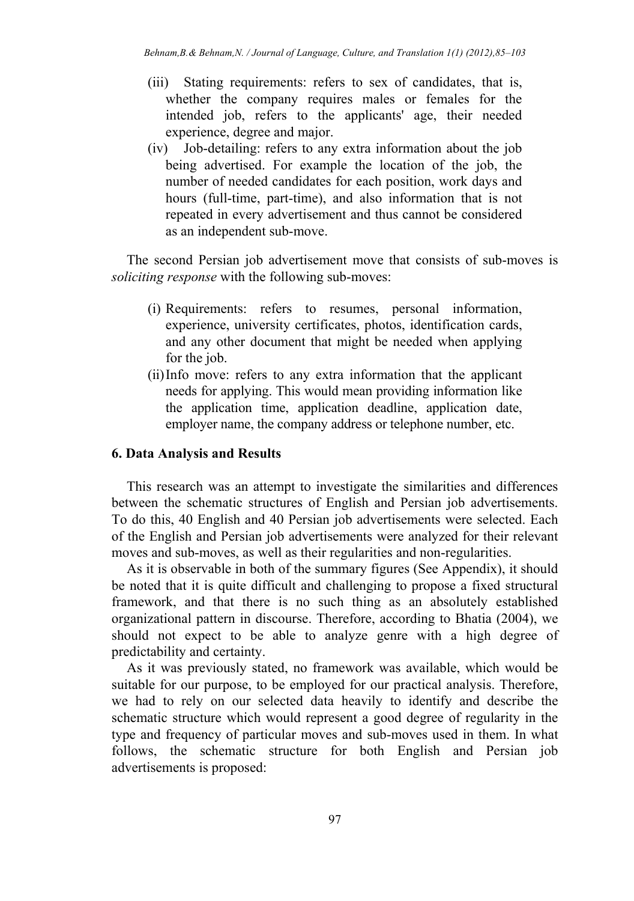- (iii) Stating requirements: refers to sex of candidates, that is, whether the company requires males or females for the intended job, refers to the applicants' age, their needed experience, degree and major.
- (iv) Job-detailing: refers to any extra information about the job being advertised. For example the location of the job, the number of needed candidates for each position, work days and hours (full-time, part-time), and also information that is not repeated in every advertisement and thus cannot be considered as an independent sub-move.

The second Persian job advertisement move that consists of sub-moves is *soliciting response* with the following sub-moves:

- (i) Requirements: refers to resumes, personal information, experience, university certificates, photos, identification cards, and any other document that might be needed when applying for the job.
- (ii)Info move: refers to any extra information that the applicant needs for applying. This would mean providing information like the application time, application deadline, application date, employer name, the company address or telephone number, etc.

# **6. Data Analysis and Results**

This research was an attempt to investigate the similarities and differences between the schematic structures of English and Persian job advertisements. To do this, 40 English and 40 Persian job advertisements were selected. Each of the English and Persian job advertisements were analyzed for their relevant moves and sub-moves, as well as their regularities and non-regularities.

As it is observable in both of the summary figures (See Appendix), it should be noted that it is quite difficult and challenging to propose a fixed structural framework, and that there is no such thing as an absolutely established organizational pattern in discourse. Therefore, according to Bhatia (2004), we should not expect to be able to analyze genre with a high degree of predictability and certainty.

As it was previously stated, no framework was available, which would be suitable for our purpose, to be employed for our practical analysis. Therefore, we had to rely on our selected data heavily to identify and describe the schematic structure which would represent a good degree of regularity in the type and frequency of particular moves and sub-moves used in them. In what follows, the schematic structure for both English and Persian job advertisements is proposed: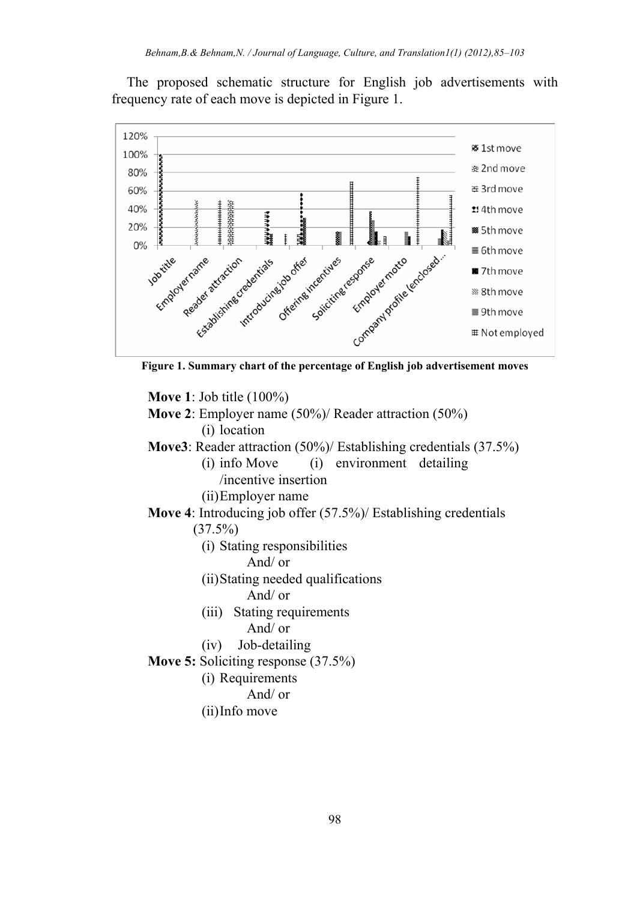The proposed schematic structure for English job advertisements with frequency rate of each move is depicted in Figure 1.



**Move 1**: Job title (100%)

- **Move 2**: Employer name (50%)/ Reader attraction (50%) (i) location
- **Move3**: Reader attraction (50%)/ Establishing credentials (37.5%)
	- (i) info Move (i) environment detailing /incentive insertion
		- (ii)Employer name
- **Move 4**: Introducing job offer (57.5%)/ Establishing credentials  $(37.5\%)$ 
	- (i) Stating responsibilities
		- And/ or
	- (ii)Stating needed qualifications
		- And/ or
	- (iii) Stating requirements
		- And/ or
	- (iv) Job-detailing
- **Move 5:** Soliciting response (37.5%)
	- (i) Requirements
		- And/ or
	- (ii)Info move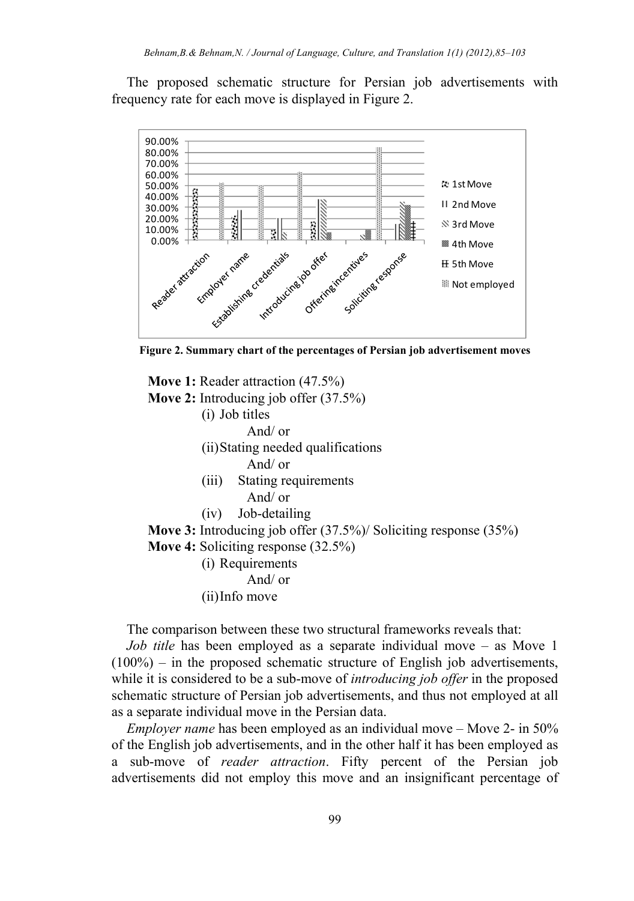The proposed schematic structure for Persian job advertisements with frequency rate for each move is displayed in Figure 2.



**Figure 2. Summary chart of the percentages of Persian job advertisement moves** 

**Move 1:** Reader attraction (47.5%) **Move 2:** Introducing job offer (37.5%) (i) Job titles And/ or (ii)Stating needed qualifications And/ or (iii) Stating requirements And/ or (iv) Job-detailing **Move 3:** Introducing job offer (37.5%)/ Soliciting response (35%) **Move 4:** Soliciting response (32.5%) (i) Requirements And/ or (ii)Info move

The comparison between these two structural frameworks reveals that:

*Job title* has been employed as a separate individual move – as Move 1  $(100\%)$  – in the proposed schematic structure of English job advertisements, while it is considered to be a sub-move of *introducing job offer* in the proposed schematic structure of Persian job advertisements, and thus not employed at all as a separate individual move in the Persian data.

*Employer name* has been employed as an individual move – Move 2- in 50% of the English job advertisements, and in the other half it has been employed as a sub-move of *reader attraction*. Fifty percent of the Persian job advertisements did not employ this move and an insignificant percentage of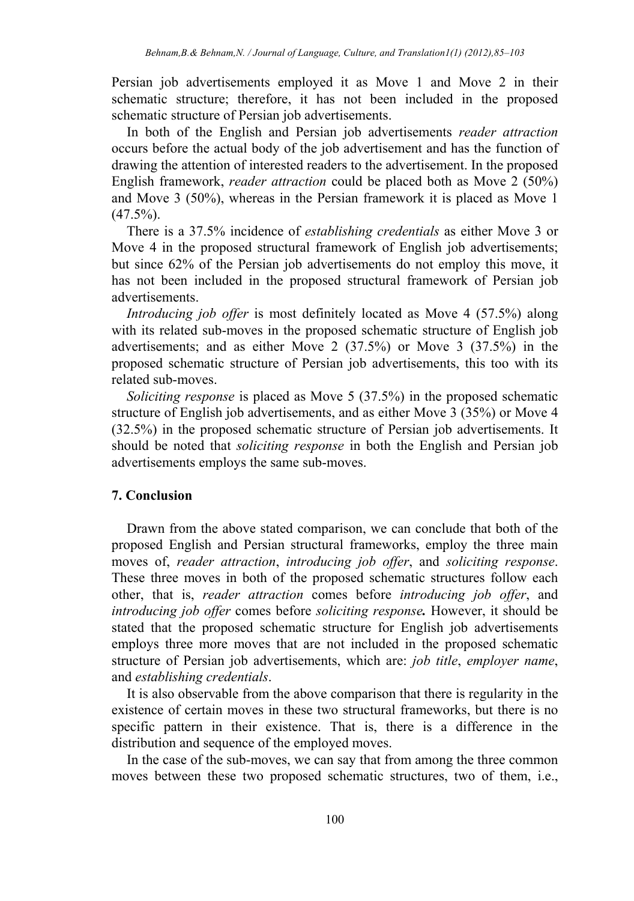Persian job advertisements employed it as Move 1 and Move 2 in their schematic structure; therefore, it has not been included in the proposed schematic structure of Persian job advertisements.

In both of the English and Persian job advertisements *reader attraction* occurs before the actual body of the job advertisement and has the function of drawing the attention of interested readers to the advertisement. In the proposed English framework, *reader attraction* could be placed both as Move 2 (50%) and Move 3 (50%), whereas in the Persian framework it is placed as Move 1  $(47.5\%)$ .

There is a 37.5% incidence of *establishing credentials* as either Move 3 or Move 4 in the proposed structural framework of English job advertisements; but since 62% of the Persian job advertisements do not employ this move, it has not been included in the proposed structural framework of Persian job advertisements.

*Introducing job offer* is most definitely located as Move 4 (57.5%) along with its related sub-moves in the proposed schematic structure of English job advertisements; and as either Move 2 (37.5%) or Move 3 (37.5%) in the proposed schematic structure of Persian job advertisements, this too with its related sub-moves.

*Soliciting response* is placed as Move 5 (37.5%) in the proposed schematic structure of English job advertisements, and as either Move 3 (35%) or Move 4 (32.5%) in the proposed schematic structure of Persian job advertisements. It should be noted that *soliciting response* in both the English and Persian job advertisements employs the same sub-moves.

# **7. Conclusion**

Drawn from the above stated comparison, we can conclude that both of the proposed English and Persian structural frameworks, employ the three main moves of, *reader attraction*, *introducing job offer*, and *soliciting response*. These three moves in both of the proposed schematic structures follow each other, that is, *reader attraction* comes before *introducing job offer*, and *introducing job offer* comes before *soliciting response.* However, it should be stated that the proposed schematic structure for English job advertisements employs three more moves that are not included in the proposed schematic structure of Persian job advertisements, which are: *job title*, *employer name*, and *establishing credentials*.

It is also observable from the above comparison that there is regularity in the existence of certain moves in these two structural frameworks, but there is no specific pattern in their existence. That is, there is a difference in the distribution and sequence of the employed moves.

In the case of the sub-moves, we can say that from among the three common moves between these two proposed schematic structures, two of them, i.e.,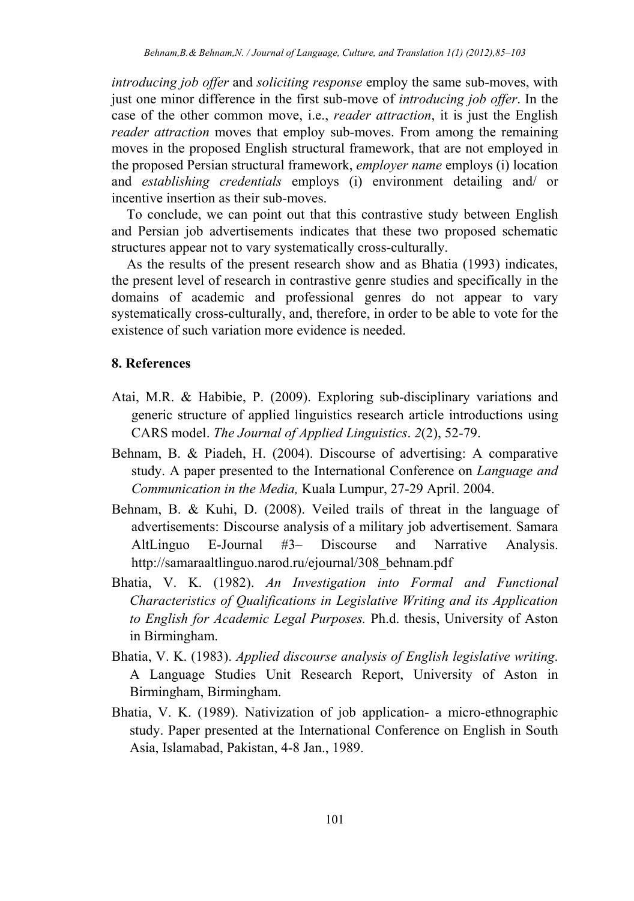*introducing job offer* and *soliciting response* employ the same sub-moves, with just one minor difference in the first sub-move of *introducing job offer*. In the case of the other common move, i.e., *reader attraction*, it is just the English *reader attraction* moves that employ sub-moves. From among the remaining moves in the proposed English structural framework, that are not employed in the proposed Persian structural framework, *employer name* employs (i) location and *establishing credentials* employs (i) environment detailing and/ or incentive insertion as their sub-moves.

To conclude, we can point out that this contrastive study between English and Persian job advertisements indicates that these two proposed schematic structures appear not to vary systematically cross-culturally.

As the results of the present research show and as Bhatia (1993) indicates, the present level of research in contrastive genre studies and specifically in the domains of academic and professional genres do not appear to vary systematically cross-culturally, and, therefore, in order to be able to vote for the existence of such variation more evidence is needed.

#### **8. References**

- Atai, M.R. & Habibie, P. (2009). Exploring sub-disciplinary variations and generic structure of applied linguistics research article introductions using CARS model. *The Journal of Applied Linguistics*. *2*(2), 52-79.
- Behnam, B. & Piadeh, H. (2004). Discourse of advertising: A comparative study. A paper presented to the International Conference on *Language and Communication in the Media,* Kuala Lumpur, 27-29 April. 2004.
- Behnam, B. & Kuhi, D. (2008). Veiled trails of threat in the language of advertisements: Discourse analysis of a military job advertisement. Samara AltLinguo E-Journal #3– Discourse and Narrative Analysis. http://samaraaltlinguo.narod.ru/ejournal/308\_behnam.pdf
- Bhatia, V. K. (1982). *An Investigation into Formal and Functional Characteristics of Qualifications in Legislative Writing and its Application to English for Academic Legal Purposes.* Ph.d. thesis, University of Aston in Birmingham.
- Bhatia, V. K. (1983). *Applied discourse analysis of English legislative writing*. A Language Studies Unit Research Report, University of Aston in Birmingham, Birmingham.
- Bhatia, V. K. (1989). Nativization of job application- a micro-ethnographic study. Paper presented at the International Conference on English in South Asia, Islamabad, Pakistan, 4-8 Jan., 1989.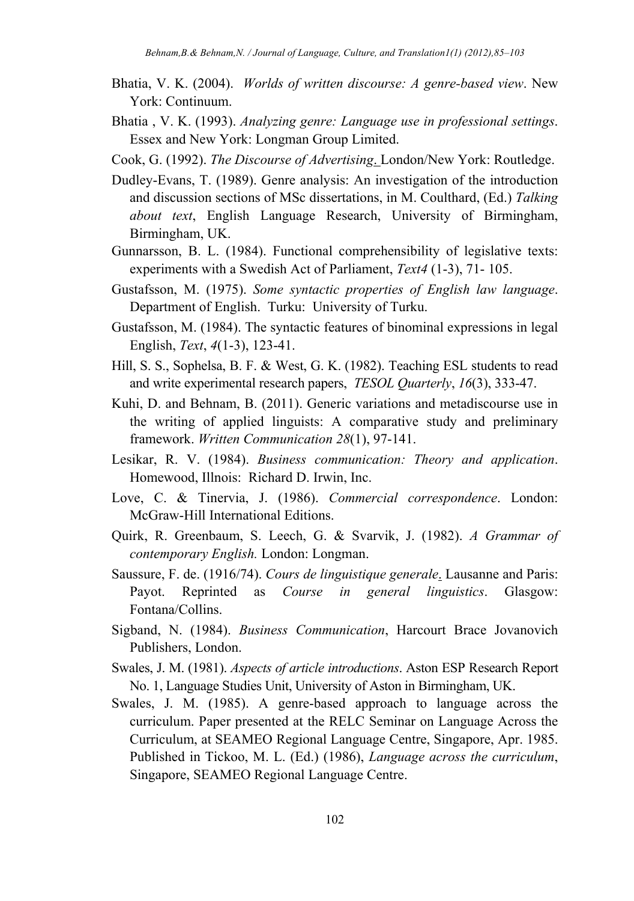- Bhatia, V. K. (2004). *Worlds of written discourse: A genre-based view*. New York: Continuum.
- Bhatia , V. K. (1993). *Analyzing genre: Language use in professional settings*. Essex and New York: Longman Group Limited.
- Cook, G. (1992). *The Discourse of Advertising*. London/New York: Routledge.
- Dudley-Evans, T. (1989). Genre analysis: An investigation of the introduction and discussion sections of MSc dissertations, in M. Coulthard, (Ed.) *Talking about text*, English Language Research, University of Birmingham, Birmingham, UK.
- Gunnarsson, B. L. (1984). Functional comprehensibility of legislative texts: experiments with a Swedish Act of Parliament, *Text4* (1-3), 71- 105.
- Gustafsson, M. (1975). *Some syntactic properties of English law language*. Department of English. Turku: University of Turku.
- Gustafsson, M. (1984). The syntactic features of binominal expressions in legal English, *Text*, *4*(1-3), 123-41.
- Hill, S. S., Sophelsa, B. F. & West, G. K. (1982). Teaching ESL students to read and write experimental research papers, *TESOL Quarterly*, *16*(3), 333-47.
- Kuhi, D. and Behnam, B. (2011). Generic variations and metadiscourse use in the writing of applied linguists: A comparative study and preliminary framework. *Written Communication 28*(1), 97-141.
- Lesikar, R. V. (1984). *Business communication: Theory and application*. Homewood, Illnois: Richard D. Irwin, Inc.
- Love, C. & Tinervia, J. (1986). *Commercial correspondence*. London: McGraw-Hill International Editions.
- Quirk, R. Greenbaum, S. Leech, G. & Svarvik, J. (1982). *A Grammar of contemporary English.* London: Longman.
- Saussure, F. de. (1916/74). *Cours de linguistique generale*. Lausanne and Paris: Payot. Reprinted as *Course in general linguistics*. Glasgow: Fontana/Collins.
- Sigband, N. (1984). *Business Communication*, Harcourt Brace Jovanovich Publishers, London.
- Swales, J. M. (1981). *Aspects of article introductions*. Aston ESP Research Report No. 1, Language Studies Unit, University of Aston in Birmingham, UK.
- Swales, J. M. (1985). A genre-based approach to language across the curriculum. Paper presented at the RELC Seminar on Language Across the Curriculum, at SEAMEO Regional Language Centre, Singapore, Apr. 1985. Published in Tickoo, M. L. (Ed.) (1986), *Language across the curriculum*, Singapore, SEAMEO Regional Language Centre.